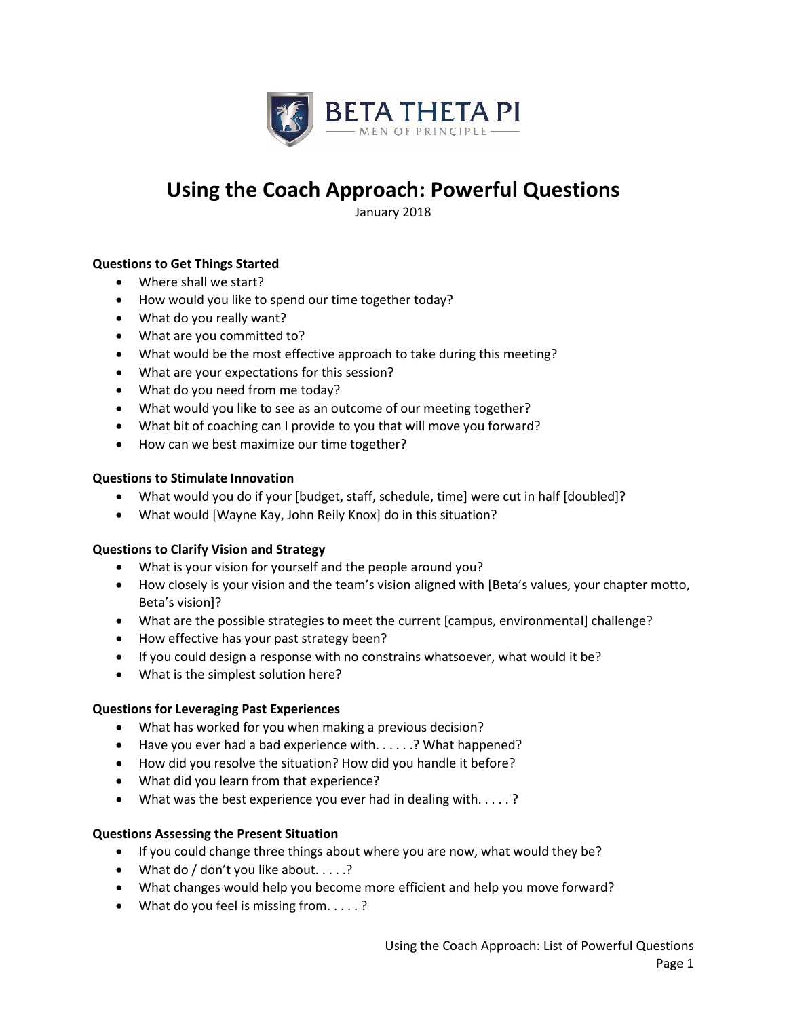

# **Using the Coach Approach: Powerful Questions**

January 2018

# **Questions to Get Things Started**

- Where shall we start?
- How would you like to spend our time together today?
- What do you really want?
- What are you committed to?
- What would be the most effective approach to take during this meeting?
- What are your expectations for this session?
- What do you need from me today?
- What would you like to see as an outcome of our meeting together?
- What bit of coaching can I provide to you that will move you forward?
- How can we best maximize our time together?

#### **Questions to Stimulate Innovation**

- What would you do if your [budget, staff, schedule, time] were cut in half [doubled]?
- What would [Wayne Kay, John Reily Knox] do in this situation?

## **Questions to Clarify Vision and Strategy**

- What is your vision for yourself and the people around you?
- How closely is your vision and the team's vision aligned with [Beta's values, your chapter motto, Beta's vision]?
- What are the possible strategies to meet the current [campus, environmental] challenge?
- How effective has your past strategy been?
- If you could design a response with no constrains whatsoever, what would it be?
- What is the simplest solution here?

## **Questions for Leveraging Past Experiences**

- What has worked for you when making a previous decision?
- Have you ever had a bad experience with. . . . . .? What happened?
- How did you resolve the situation? How did you handle it before?
- What did you learn from that experience?
- What was the best experience you ever had in dealing with. . . . . ?

## **Questions Assessing the Present Situation**

- If you could change three things about where you are now, what would they be?
- What do / don't you like about.  $\ldots$  .?
- What changes would help you become more efficient and help you move forward?
- What do you feel is missing from. . . . . ?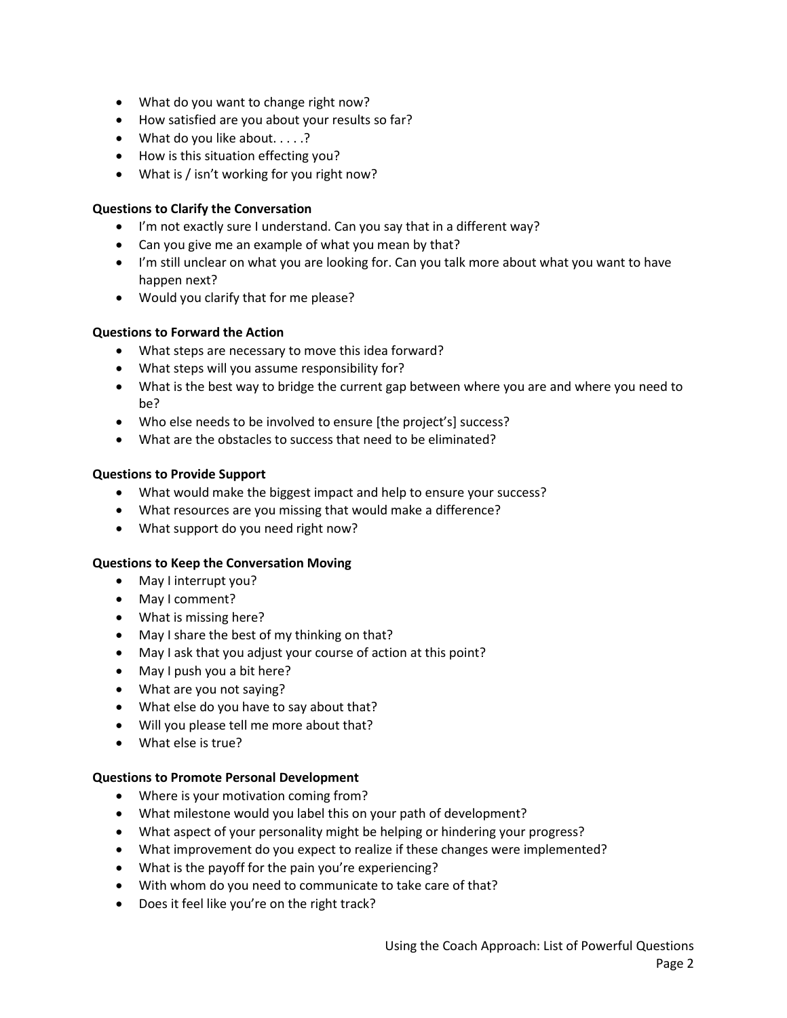- What do you want to change right now?
- How satisfied are you about your results so far?
- What do you like about.....?
- How is this situation effecting you?
- What is / isn't working for you right now?

## **Questions to Clarify the Conversation**

- I'm not exactly sure I understand. Can you say that in a different way?
- Can you give me an example of what you mean by that?
- I'm still unclear on what you are looking for. Can you talk more about what you want to have happen next?
- Would you clarify that for me please?

## **Questions to Forward the Action**

- What steps are necessary to move this idea forward?
- What steps will you assume responsibility for?
- What is the best way to bridge the current gap between where you are and where you need to be?
- Who else needs to be involved to ensure [the project's] success?
- What are the obstacles to success that need to be eliminated?

## **Questions to Provide Support**

- What would make the biggest impact and help to ensure your success?
- What resources are you missing that would make a difference?
- What support do you need right now?

## **Questions to Keep the Conversation Moving**

- May I interrupt you?
- May I comment?
- What is missing here?
- May I share the best of my thinking on that?
- May I ask that you adjust your course of action at this point?
- May I push you a bit here?
- What are you not saying?
- What else do you have to say about that?
- Will you please tell me more about that?
- What else is true?

## **Questions to Promote Personal Development**

- Where is your motivation coming from?
- What milestone would you label this on your path of development?
- What aspect of your personality might be helping or hindering your progress?
- What improvement do you expect to realize if these changes were implemented?
- What is the payoff for the pain you're experiencing?
- With whom do you need to communicate to take care of that?
- Does it feel like you're on the right track?